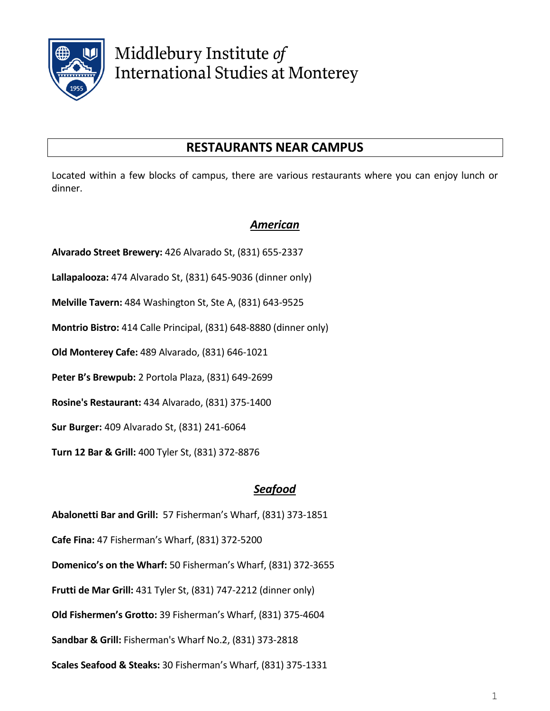

Middlebury Institute of **International Studies at Monterey** 

# **RESTAURANTS NEAR CAMPUS**

Located within a few blocks of campus, there are various restaurants where you can enjoy lunch or dinner.

# *American*

**Alvarado Street Brewery:** 426 Alvarado St, (831) 655-2337

**Lallapalooza:** 474 Alvarado St, (831) 645-9036 (dinner only)

**Melville Tavern:** 484 Washington St, Ste A, (831) 643-9525

**Montrio Bistro:** 414 Calle Principal, (831) 648-8880 (dinner only)

**Old Monterey Cafe:** 489 Alvarado, (831) 646-1021

**Peter B's Brewpub:** 2 Portola Plaza, (831) 649-2699

**Rosine's Restaurant:** 434 Alvarado, (831) 375-1400

**Sur Burger:** 409 Alvarado St, (831) 241-6064

**Turn 12 Bar & Grill:** 400 Tyler St, (831) 372-8876

### *Seafood*

**Abalonetti Bar and Grill:** 57 Fisherman's Wharf, (831) 373-1851

**Cafe Fina:** 47 Fisherman's Wharf, (831) 372-5200

**Domenico's on the Wharf:** 50 Fisherman's Wharf, (831) 372-3655

**Frutti de Mar Grill:** 431 Tyler St, (831) 747-2212 (dinner only)

**Old Fishermen's Grotto:** 39 Fisherman's Wharf, (831) 375-4604

**Sandbar & Grill:** Fisherman's Wharf No.2, (831) 373-2818

**Scales Seafood & Steaks:** 30 Fisherman's Wharf, (831) 375-1331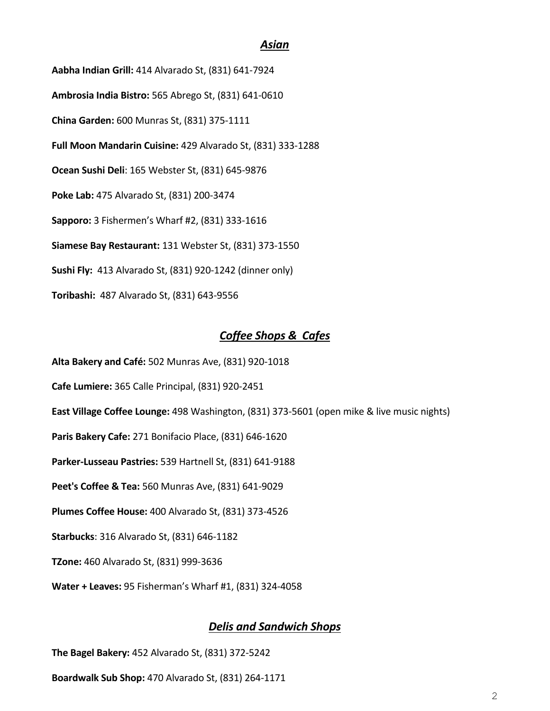#### *Asian*

**Aabha Indian Grill:** 414 Alvarado St, (831) 641-7924 **Ambrosia India Bistro:** 565 Abrego St, (831) 641-0610 **China Garden:** 600 Munras St, (831) 375-1111 **Full Moon Mandarin Cuisine:** 429 Alvarado St, (831) 333-1288 **Ocean Sushi Deli**: 165 Webster St, (831) 645-9876 **Poke Lab:** 475 Alvarado St, (831) 200-3474 **Sapporo:** 3 Fishermen's Wharf #2, (831) 333-1616 **Siamese Bay Restaurant:** 131 Webster St, (831) 373-1550 **Sushi Fly:** 413 Alvarado St, (831) 920-1242 (dinner only) **Toribashi:** 487 Alvarado St, (831) 643-9556

#### *Coffee Shops & Cafes*

**Alta Bakery and Café:** 502 Munras Ave, (831) 920-1018

**Cafe Lumiere:** 365 Calle Principal, (831) 920-2451

**East Village Coffee Lounge:** 498 Washington, (831) 373-5601 (open mike & live music nights)

**Paris Bakery Cafe:** 271 Bonifacio Place, (831) 646-1620

**Parker-Lusseau Pastries:** 539 Hartnell St, (831) 641-9188

**Peet's Coffee & Tea:** 560 Munras Ave, (831) 641-9029

**Plumes Coffee House:** 400 Alvarado St, (831) 373-4526

**Starbucks**: 316 Alvarado St, (831) 646-1182

**TZone:** 460 Alvarado St, (831) 999-3636

**Water + Leaves:** 95 Fisherman's Wharf #1, (831) 324-4058

#### *Delis and Sandwich Shops*

**The Bagel Bakery:** 452 Alvarado St, (831) 372-5242

**Boardwalk Sub Shop:** 470 Alvarado St, (831) 264-1171